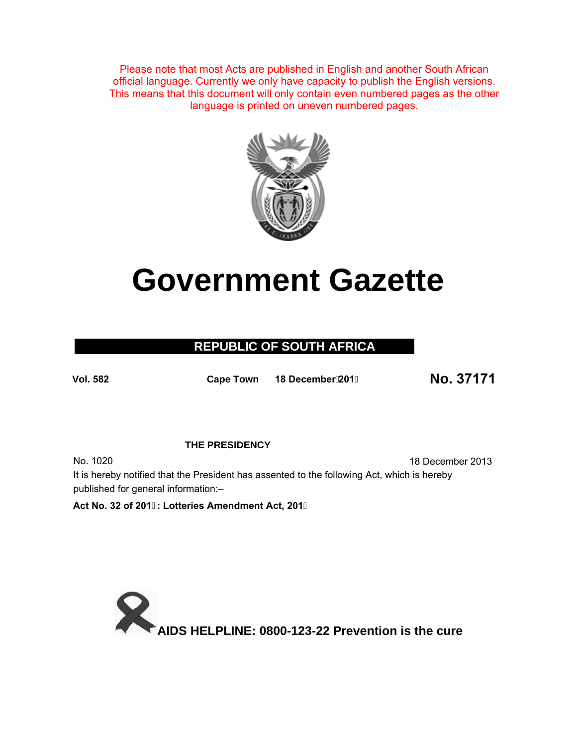Please note that most Acts are published in English and another South African official language. Currently we only have capacity to publish the English versions. This means that this document will only contain even numbered pages as the other language is printed on uneven numbered pages.



# **Government Gazette**

### **REPUBLIC OF SOUTH AFRICA**

**Vol. 5<sup>82</sup> Cape Town 18 December201 No. 37171**

#### **THE PRESIDENCY**

No. 1020 18 December 2013 It is hereby notified that the President has assented to the following Act, which is hereby published for general information:–

**Act No. 32 of 201: Lotteries Amendment Act, 201**

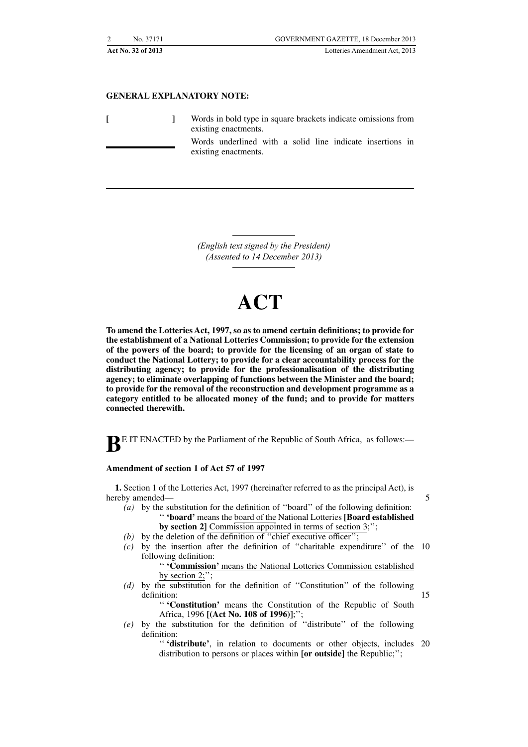#### **GENERAL EXPLANATORY NOTE:**

**[ ]** Words in bold type in square brackets indicate omissions from existing enactments.

> Words underlined with a solid line indicate insertions in existing enactments.

*(English text signed by the President) (Assented to 14 December 2013)*

## **ACT**

**To amend the Lotteries Act, 1997, so as to amend certain definitions; to provide for the establishment of a National Lotteries Commission; to provide for the extension of the powers of the board; to provide for the licensing of an organ of state to conduct the National Lottery; to provide for a clear accountability process for the distributing agency; to provide for the professionalisation of the distributing agency; to eliminate overlapping of functions between the Minister and the board; to provide for the removal of the reconstruction and development programme as a category entitled to be allocated money of the fund; and to provide for matters connected therewith.**

**BE IT ENACTED** by the Parliament of the Republic of South Africa, as follows:-

#### **Amendment of section 1 of Act 57 of 1997**

**1.** Section 1 of the Lotteries Act, 1997 (hereinafter referred to as the principal Act), is hereby amended—

*(a)* by the substitution for the definition of ''board'' of the following definition: '' **'board'** means the board of the National Lotteries **[Board established**

- **by section 2]** Commission appointed in terms of section 3;'';
- *(b)* by the deletion of the definition of ''chief executive officer'';
- *(c)* by the insertion after the definition of ''charitable expenditure'' of the 10 following definition:

'' **'Commission'** means the National Lotteries Commission established by section  $2$ ;";

*(d)* by the substitution for the definition of ''Constitution'' of the following definition:

> '' **'Constitution'** means the Constitution of the Republic of South Africa, 1996 **[(Act No. 108 of 1996)]**;'';

*(e)* by the substitution for the definition of ''distribute'' of the following definition:

"'distribute', in relation to documents or other objects, includes 20 distribution to persons or places within **[or outside]** the Republic;'';

5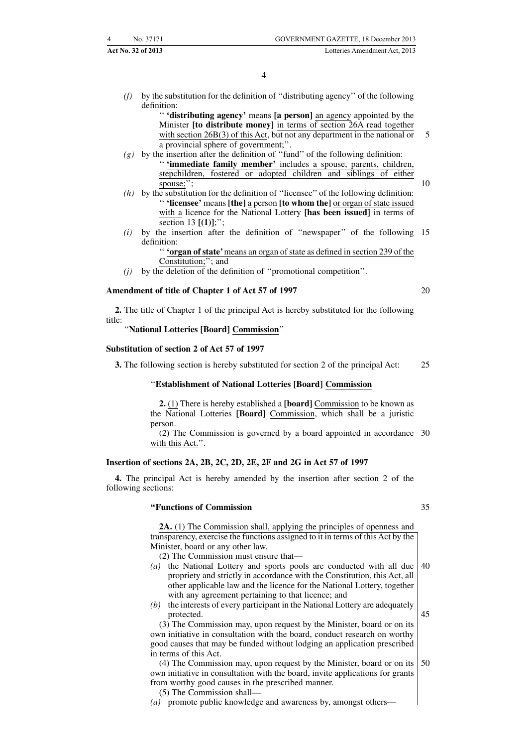*(f)* by the substitution for the definition of ''distributing agency'' of the following definition:

'' **'distributing agency'** means **[a person]** an agency appointed by the Minister **[to distribute money]** in terms of section 26A read together with section 26B(3) of this Act, but not any department in the national or a provincial sphere of government;''. 5

- *(g)* by the insertion after the definition of ''fund'' of the following definition: '' **'immediate family member'** includes a spouse, parents, children, stepchildren, fostered or adopted children and siblings of either spouse;"; 10
- *(h)* by the substitution for the definition of ''licensee'' of the following definition: '' **'licensee'** means **[the]** a person **[to whom the]** or organ of state issued with a licence for the National Lottery **[has been issued]** in terms of section 13 **[(1)]**;'';
- *(i)* by the insertion after the definition of ''newspaper'' of the following 15 definition:

'' **'organ of state'**means an organ of state as defined in section 239 of the Constitution;''; and

*(j)* by the deletion of the definition of ''promotional competition''.

#### **Amendment of title of Chapter 1 of Act 57 of 1997**

**2.** The title of Chapter 1 of the principal Act is hereby substituted for the following title:

''**National Lotteries [Board] Commission**''

#### **Substitution of section 2 of Act 57 of 1997**

**3.** The following section is hereby substituted for section 2 of the principal Act: 25

20

#### ''**Establishment of National Lotteries [Board] Commission**

**2.** (1) There is hereby established a **[board]** Commission to be known as the National Lotteries **[Board]** Commission, which shall be a juristic person.

(2) The Commission is governed by a board appointed in accordance 30 with this Act.".

#### **Insertion of sections 2A, 2B, 2C, 2D, 2E, 2F and 2G in Act 57 of 1997**

**4.** The principal Act is hereby amended by the insertion after section 2 of the following sections:

#### **''Functions of Commission**

**2A.** (1) The Commission shall, applying the principles of openness and transparency, exercise the functions assigned to it in terms of this Act by the Minister, board or any other law.

- (2) The Commission must ensure that—
- *(a)* the National Lottery and sports pools are conducted with all due propriety and strictly in accordance with the Constitution, this Act, all other applicable law and the licence for the National Lottery, together with any agreement pertaining to that licence; and 40
- *(b)* the interests of every participant in the National Lottery are adequately protected.

(3) The Commission may, upon request by the Minister, board or on its own initiative in consultation with the board, conduct research on worthy good causes that may be funded without lodging an application prescribed in terms of this Act.

(4) The Commission may, upon request by the Minister, board or on its own initiative in consultation with the board, invite applications for grants from worthy good causes in the prescribed manner. 50

- (5) The Commission shall—
- *(a)* promote public knowledge and awareness by, amongst others—

35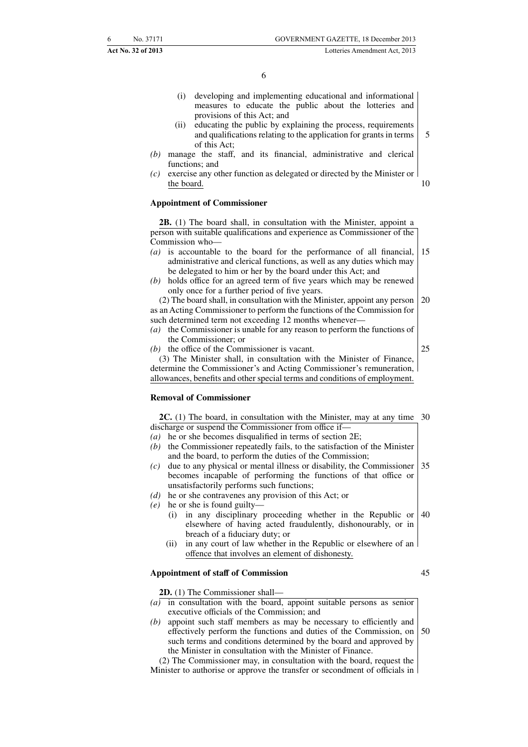- (i) developing and implementing educational and informational measures to educate the public about the lotteries and provisions of this Act; and
- (ii) educating the public by explaining the process, requirements and qualifications relating to the application for grants in terms of this Act; 5
- *(b)* manage the staff, and its financial, administrative and clerical functions; and
- *(c)* exercise any other function as delegated or directed by the Minister or the board. 10

#### **Appointment of Commissioner**

**2B.** (1) The board shall, in consultation with the Minister, appoint a person with suitable qualifications and experience as Commissioner of the Commission who—

- *(a)* is accountable to the board for the performance of all financial, administrative and clerical functions, as well as any duties which may be delegated to him or her by the board under this Act; and 15
- *(b)* holds office for an agreed term of five years which may be renewed only once for a further period of five years.

(2) The board shall, in consultation with the Minister, appoint any person as an Acting Commissioner to perform the functions of the Commission for such determined term not exceeding 12 months whenever— 20

#### *(a)* the Commissioner is unable for any reason to perform the functions of the Commissioner; or

*(b)* the office of the Commissioner is vacant.

25

(3) The Minister shall, in consultation with the Minister of Finance, determine the Commissioner's and Acting Commissioner's remuneration, allowances, benefits and other special terms and conditions of employment.

#### **Removal of Commissioner**

**2C.** (1) The board, in consultation with the Minister, may at any time discharge or suspend the Commissioner from office if— 30

- *(a)* he or she becomes disqualified in terms of section 2E;
- *(b)* the Commissioner repeatedly fails, to the satisfaction of the Minister and the board, to perform the duties of the Commission;
- *(c)* due to any physical or mental illness or disability, the Commissioner becomes incapable of performing the functions of that office or unsatisfactorily performs such functions; 35
- *(d)* he or she contravenes any provision of this Act; or
- *(e)* he or she is found guilty—
	- (i) in any disciplinary proceeding whether in the Republic or elsewhere of having acted fraudulently, dishonourably, or in breach of a fiduciary duty; or 40
	- (ii) in any court of law whether in the Republic or elsewhere of an offence that involves an element of dishonesty.

#### **Appointment of staff of Commission**

**2D.** (1) The Commissioner shall—

- *(a)* in consultation with the board, appoint suitable persons as senior executive officials of the Commission; and
- *(b)* appoint such staff members as may be necessary to efficiently and effectively perform the functions and duties of the Commission, on such terms and conditions determined by the board and approved by the Minister in consultation with the Minister of Finance. 50

(2) The Commissioner may, in consultation with the board, request the Minister to authorise or approve the transfer or secondment of officials in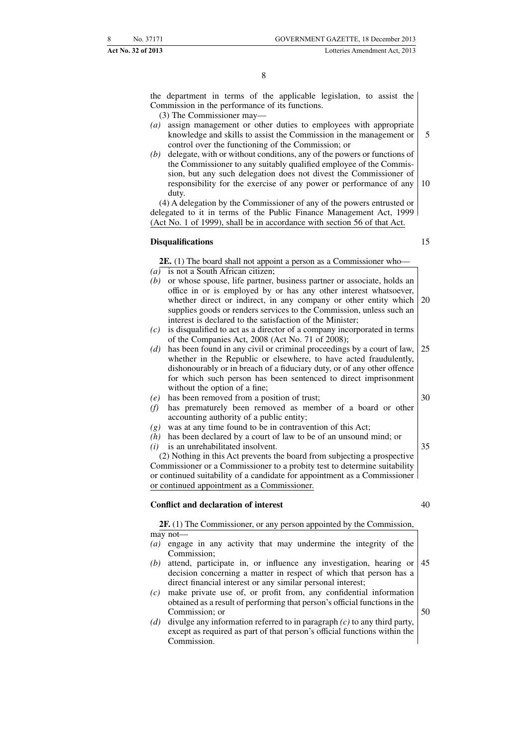the department in terms of the applicable legislation, to assist the Commission in the performance of its functions.

- (3) The Commissioner may—
- *(a)* assign management or other duties to employees with appropriate knowledge and skills to assist the Commission in the management or control over the functioning of the Commission; or 5
- delegate, with or without conditions, any of the powers or functions of the Commissioner to any suitably qualified employee of the Commission, but any such delegation does not divest the Commissioner of responsibility for the exercise of any power or performance of any duty. 10

(4) A delegation by the Commissioner of any of the powers entrusted or delegated to it in terms of the Public Finance Management Act, 1999 (Act No. 1 of 1999), shall be in accordance with section 56 of that Act.

#### **Disqualifications**

15

**2E.** (1) The board shall not appoint a person as a Commissioner who— *(a)* is not a South African citizen;

- *(b)* or whose spouse, life partner, business partner or associate, holds an office in or is employed by or has any other interest whatsoever, whether direct or indirect, in any company or other entity which supplies goods or renders services to the Commission, unless such an interest is declared to the satisfaction of the Minister; 20
- *(c)* is disqualified to act as a director of a company incorporated in terms of the Companies Act, 2008 (Act No. 71 of 2008);
- *(d)* has been found in any civil or criminal proceedings by a court of law, whether in the Republic or elsewhere, to have acted fraudulently, dishonourably or in breach of a fiduciary duty, or of any other offence for which such person has been sentenced to direct imprisonment without the option of a fine; 25 30
- *(e)* has been removed from a position of trust;
- *(f)* has prematurely been removed as member of a board or other accounting authority of a public entity;
- *(g)* was at any time found to be in contravention of this Act;
- *(h)* has been declared by a court of law to be of an unsound mind; or
- *(i)* is an unrehabilitated insolvent.

(2) Nothing in this Act prevents the board from subjecting a prospective Commissioner or a Commissioner to a probity test to determine suitability or continued suitability of a candidate for appointment as a Commissioner or continued appointment as a Commissioner.

#### **Conflict and declaration of interest**

**2F.** (1) The Commissioner, or any person appointed by the Commission, may not—

- *(a)* engage in any activity that may undermine the integrity of the Commission;
- *(b)* attend, participate in, or influence any investigation, hearing or decision concerning a matter in respect of which that person has a direct financial interest or any similar personal interest; 45
- *(c)* make private use of, or profit from, any confidential information obtained as a result of performing that person's official functions in the Commission; or
- *(d)* divulge any information referred to in paragraph *(c)* to any third party, except as required as part of that person's official functions within the Commission.

35

40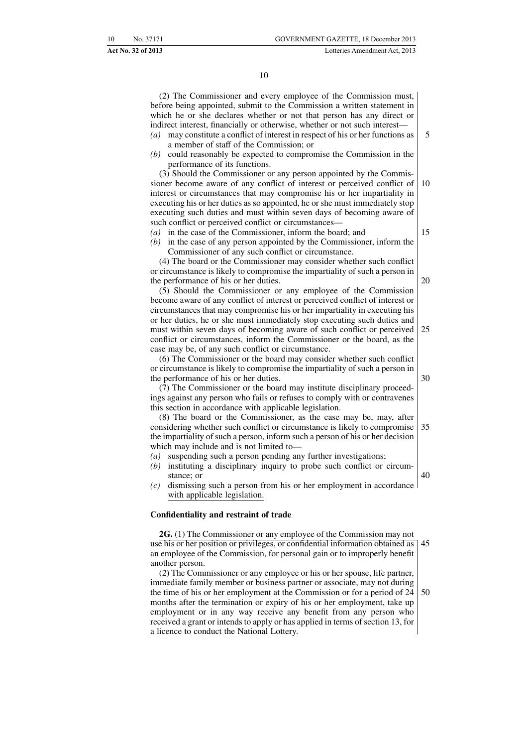(2) The Commissioner and every employee of the Commission must, before being appointed, submit to the Commission a written statement in which he or she declares whether or not that person has any direct or indirect interest, financially or otherwise, whether or not such interest—

*(a)* may constitute a conflict of interest in respect of his or her functions as a member of staff of the Commission; or 5

*(b)* could reasonably be expected to compromise the Commission in the performance of its functions.

(3) Should the Commissioner or any person appointed by the Commissioner become aware of any conflict of interest or perceived conflict of interest or circumstances that may compromise his or her impartiality in executing his or her duties as so appointed, he or she must immediately stop executing such duties and must within seven days of becoming aware of such conflict or perceived conflict or circumstances— 10 15

*(a)* in the case of the Commissioner, inform the board; and

*(b)* in the case of any person appointed by the Commissioner, inform the Commissioner of any such conflict or circumstance.

(4) The board or the Commissioner may consider whether such conflict or circumstance is likely to compromise the impartiality of such a person in the performance of his or her duties.

(5) Should the Commissioner or any employee of the Commission become aware of any conflict of interest or perceived conflict of interest or circumstances that may compromise his or her impartiality in executing his or her duties, he or she must immediately stop executing such duties and must within seven days of becoming aware of such conflict or perceived conflict or circumstances, inform the Commissioner or the board, as the case may be, of any such conflict or circumstance. 25

(6) The Commissioner or the board may consider whether such conflict or circumstance is likely to compromise the impartiality of such a person in the performance of his or her duties.

(7) The Commissioner or the board may institute disciplinary proceedings against any person who fails or refuses to comply with or contravenes this section in accordance with applicable legislation.

(8) The board or the Commissioner, as the case may be, may, after considering whether such conflict or circumstance is likely to compromise the impartiality of such a person, inform such a person of his or her decision which may include and is not limited to— 35

- *(a)* suspending such a person pending any further investigations;
- *(b)* instituting a disciplinary inquiry to probe such conflict or circumstance; or
- *(c)* dismissing such a person from his or her employment in accordance with applicable legislation.

#### **Confidentiality and restraint of trade**

**2G.** (1) The Commissioner or any employee of the Commission may not use his or her position or privileges, or confidential information obtained as an employee of the Commission, for personal gain or to improperly benefit another person. 45

(2) The Commissioner or any employee or his or her spouse, life partner, immediate family member or business partner or associate, may not during the time of his or her employment at the Commission or for a period of 24 months after the termination or expiry of his or her employment, take up employment or in any way receive any benefit from any person who received a grant or intends to apply or has applied in terms of section 13, for a licence to conduct the National Lottery. 50

20

30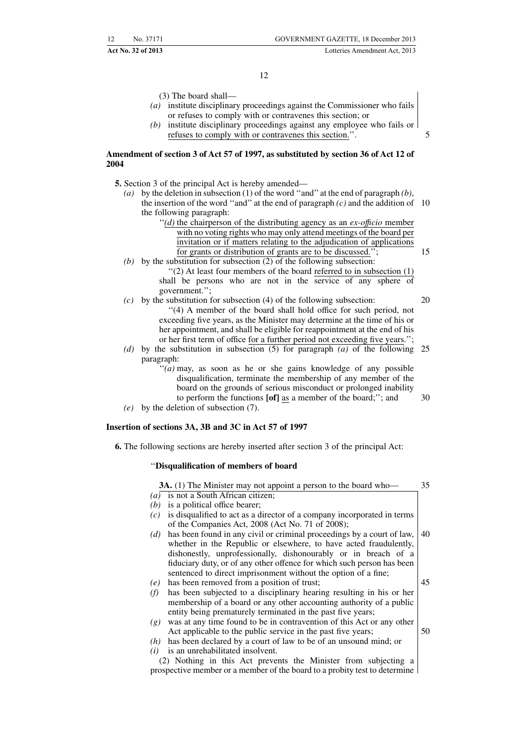(3) The board shall—

- *(a)* institute disciplinary proceedings against the Commissioner who fails or refuses to comply with or contravenes this section; or
- *(b)* institute disciplinary proceedings against any employee who fails or refuses to comply with or contravenes this section.''.

#### **Amendment of section 3 of Act 57 of 1997, as substituted by section 36 of Act 12 of 2004**

- **5.** Section 3 of the principal Act is hereby amended—
	- *(a)* by the deletion in subsection (1) of the word ''and'' at the end of paragraph *(b)*, the insertion of the word ''and'' at the end of paragraph *(c)* and the addition of 10 the following paragraph:
		- ''*(d)* the chairperson of the distributing agency as an *ex-offıcio* member with no voting rights who may only attend meetings of the board per invitation or if matters relating to the adjudication of applications for grants or distribution of grants are to be discussed.'';
	- *(b)* by the substitution for subsection (2) of the following subsection: ''(2) At least four members of the board referred to in subsection (1) shall be persons who are not in the service of any sphere of government.'';
	- *(c)* by the substitution for subsection (4) of the following subsection: ''(4) A member of the board shall hold office for such period, not exceeding five years, as the Minister may determine at the time of his or her appointment, and shall be eligible for reappointment at the end of his or her first term of office for a further period not exceeding five years.'';
	- *(d)* by the substitution in subsection (5) for paragraph *(a)* of the following 25 paragraph:
		- "(*a*) may, as soon as he or she gains knowledge of any possible disqualification, terminate the membership of any member of the board on the grounds of serious misconduct or prolonged inability to perform the functions **[of]** as a member of the board;''; and 30
	- *(e)* by the deletion of subsection (7).

#### **Insertion of sections 3A, 3B and 3C in Act 57 of 1997**

**6.** The following sections are hereby inserted after section 3 of the principal Act:

#### ''**Disqualification of members of board**

| 3A. (1) The Minister may not appoint a person to the board who-                                                                    | 35 |
|------------------------------------------------------------------------------------------------------------------------------------|----|
| is not a South African citizen;<br>$\left(a\right)$                                                                                |    |
| is a political office bearer;<br>(b)                                                                                               |    |
| is disqualified to act as a director of a company incorporated in terms<br>(c)<br>of the Companies Act, 2008 (Act No. 71 of 2008); |    |
| has been found in any civil or criminal proceedings by a court of law,<br>(d)                                                      | 40 |
| whether in the Republic or elsewhere, to have acted fraudulently,                                                                  |    |
| dishonestly, unprofessionally, dishonourably or in breach of a                                                                     |    |
| fiduciary duty, or of any other offence for which such person has been                                                             |    |
| sentenced to direct imprisonment without the option of a fine;                                                                     |    |
| has been removed from a position of trust;<br>(e)                                                                                  | 45 |
| has been subjected to a disciplinary hearing resulting in his or her<br>(t)                                                        |    |
| membership of a board or any other accounting authority of a public                                                                |    |
| entity being prematurely terminated in the past five years;                                                                        |    |
| was at any time found to be in contravention of this Act or any other<br>(g)                                                       |    |
| Act applicable to the public service in the past five years;                                                                       | 50 |
| has been declared by a court of law to be of an unsound mind; or<br>(h)                                                            |    |
| is an unrehabilitated insolvent.<br>(i)                                                                                            |    |
| (2) Nothing in this Act prevents the Minister from subjecting a                                                                    |    |
| prospective member or a member of the board to a probity test to determine                                                         |    |

15

5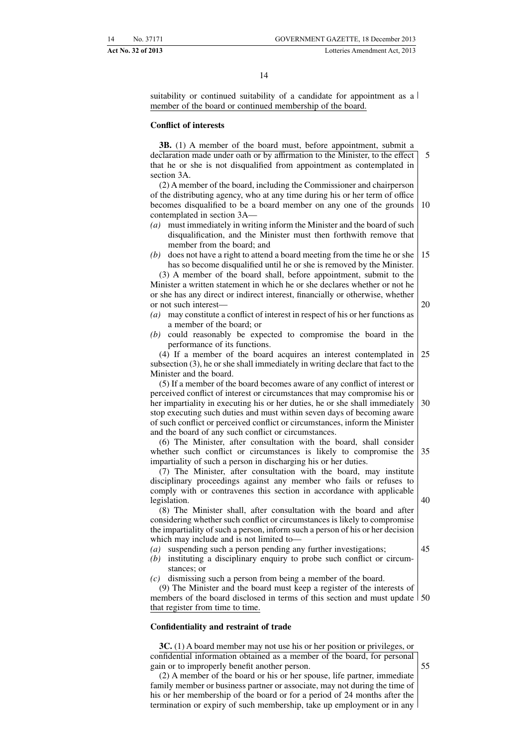suitability or continued suitability of a candidate for appointment as a member of the board or continued membership of the board.

#### **Conflict of interests**

**3B.** (1) A member of the board must, before appointment, submit a declaration made under oath or by affirmation to the Minister, to the effect that he or she is not disqualified from appointment as contemplated in section 3A. 5

(2) A member of the board, including the Commissioner and chairperson of the distributing agency, who at any time during his or her term of office becomes disqualified to be a board member on any one of the grounds contemplated in section 3A— 10

- *(a)* must immediately in writing inform the Minister and the board of such disqualification, and the Minister must then forthwith remove that member from the board; and
- *(b)* does not have a right to attend a board meeting from the time he or she has so become disqualified until he or she is removed by the Minister. 15

(3) A member of the board shall, before appointment, submit to the Minister a written statement in which he or she declares whether or not he or she has any direct or indirect interest, financially or otherwise, whether or not such interest—

- *(a)* may constitute a conflict of interest in respect of his or her functions as a member of the board; or
- *(b)* could reasonably be expected to compromise the board in the performance of its functions.

(4) If a member of the board acquires an interest contemplated in subsection (3), he or she shall immediately in writing declare that fact to the Minister and the board. 25

(5) If a member of the board becomes aware of any conflict of interest or perceived conflict of interest or circumstances that may compromise his or her impartiality in executing his or her duties, he or she shall immediately stop executing such duties and must within seven days of becoming aware of such conflict or perceived conflict or circumstances, inform the Minister and the board of any such conflict or circumstances. 30

(6) The Minister, after consultation with the board, shall consider whether such conflict or circumstances is likely to compromise the impartiality of such a person in discharging his or her duties. 35

(7) The Minister, after consultation with the board, may institute disciplinary proceedings against any member who fails or refuses to comply with or contravenes this section in accordance with applicable legislation.

(8) The Minister shall, after consultation with the board and after considering whether such conflict or circumstances is likely to compromise the impartiality of such a person, inform such a person of his or her decision which may include and is not limited to—

- *(a)* suspending such a person pending any further investigations;
- *(b)* instituting a disciplinary enquiry to probe such conflict or circumstances; or
- *(c)* dismissing such a person from being a member of the board.

(9) The Minister and the board must keep a register of the interests of members of the board disclosed in terms of this section and must update | 50 that register from time to time.

#### **Confidentiality and restraint of trade**

**3C.** (1) A board member may not use his or her position or privileges, or confidential information obtained as a member of the board, for personal gain or to improperly benefit another person. 55

(2) A member of the board or his or her spouse, life partner, immediate family member or business partner or associate, may not during the time of his or her membership of the board or for a period of 24 months after the termination or expiry of such membership, take up employment or in any

45

40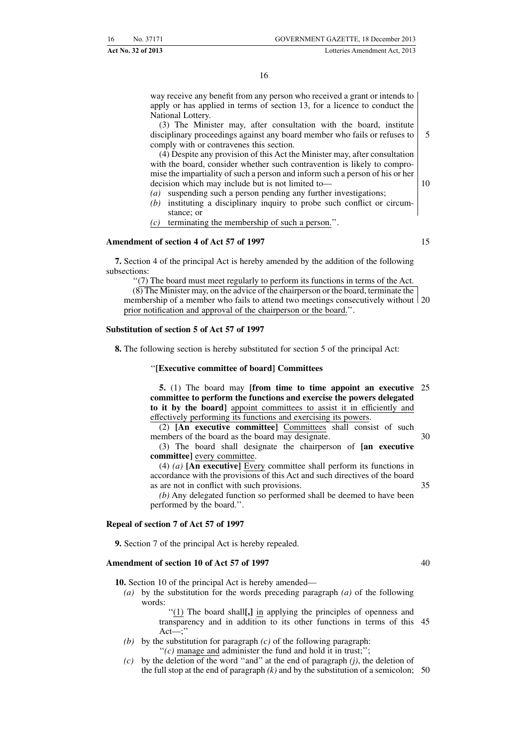way receive any benefit from any person who received a grant or intends to apply or has applied in terms of section 13, for a licence to conduct the National Lottery.

(3) The Minister may, after consultation with the board, institute disciplinary proceedings against any board member who fails or refuses to comply with or contravenes this section. 5

(4) Despite any provision of this Act the Minister may, after consultation with the board, consider whether such contravention is likely to compromise the impartiality of such a person and inform such a person of his or her decision which may include but is not limited to—

- *(a)* suspending such a person pending any further investigations;
- *(b)* instituting a disciplinary inquiry to probe such conflict or circumstance; or
- *(c)* terminating the membership of such a person.''.

#### **Amendment of section 4 of Act 57 of 1997**

15

10

**7.** Section 4 of the principal Act is hereby amended by the addition of the following subsections:

''(7) The board must meet regularly to perform its functions in terms of the Act.  $(8)$  The Minister may, on the advice of the chairperson or the board, terminate the

membership of a member who fails to attend two meetings consecutively without 20 prior notification and approval of the chairperson or the board.''.

#### **Substitution of section 5 of Act 57 of 1997**

**8.** The following section is hereby substituted for section 5 of the principal Act:

''**[Executive committee of board] Committees**

**5.** (1) The board may **[from time to time appoint an executive committee to perform the functions and exercise the powers delegated to it by the board]** appoint committees to assist it in efficiently and effectively performing its functions and exercising its powers. 25

(2) **[An executive committee]** Committees shall consist of such members of the board as the board may designate. 30

(3) The board shall designate the chairperson of **[an executive committee]** every committee.

(4) *(a)* **[An executive]** Every committee shall perform its functions in accordance with the provisions of this Act and such directives of the board as are not in conflict with such provisions.

*(b)* Any delegated function so performed shall be deemed to have been performed by the board.''.

#### **Repeal of section 7 of Act 57 of 1997**

**9.** Section 7 of the principal Act is hereby repealed.

#### **Amendment of section 10 of Act 57 of 1997**

**10.** Section 10 of the principal Act is hereby amended—

*(a)* by the substitution for the words preceding paragraph *(a)* of the following words:

> ''(1) The board shall**[,]** in applying the principles of openness and transparency and in addition to its other functions in terms of this 45  $Act$ :

- *(b)* by the substitution for paragraph *(c)* of the following paragraph:  $''(c)$  manage and administer the fund and hold it in trust;";
- *(c)* by the deletion of the word ''and'' at the end of paragraph *(j)*, the deletion of the full stop at the end of paragraph *(k)* and by the substitution of a semicolon; 50

40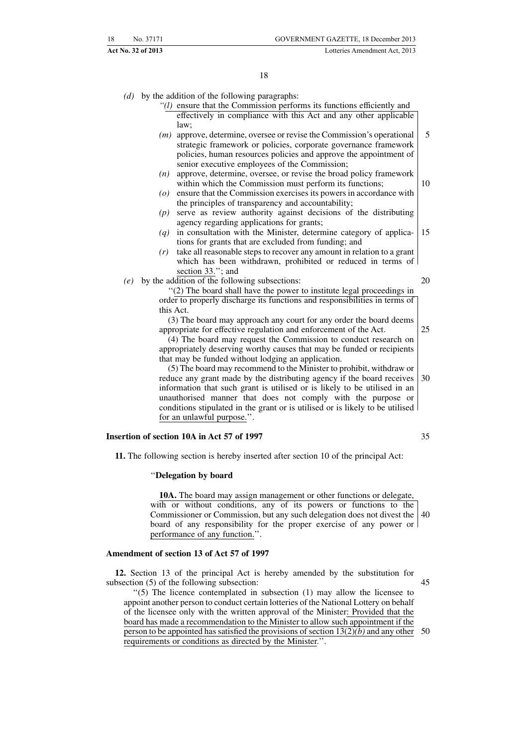- *(d)* by the addition of the following paragraphs:
	- *''(l)* ensure that the Commission performs its functions efficiently and effectively in compliance with this Act and any other applicable  $law<sup>2</sup>$
	- *(m)* approve, determine, oversee or revise the Commission's operational strategic framework or policies, corporate governance framework policies, human resources policies and approve the appointment of senior executive employees of the Commission; 5
	- *(n)* approve, determine, oversee, or revise the broad policy framework within which the Commission must perform its functions; 10
	- *(o)* ensure that the Commission exercises its powers in accordance with the principles of transparency and accountability;
	- *(p)* serve as review authority against decisions of the distributing agency regarding applications for grants;
	- *(q)* in consultation with the Minister, determine category of applications for grants that are excluded from funding; and 15
	- *(r)* take all reasonable steps to recover any amount in relation to a grant which has been withdrawn, prohibited or reduced in terms of section 33."; and
- *(e)* by the addition of the following subsections:

20

25

''(2) The board shall have the power to institute legal proceedings in order to properly discharge its functions and responsibilities in terms of this Act.

(3) The board may approach any court for any order the board deems appropriate for effective regulation and enforcement of the Act.

(4) The board may request the Commission to conduct research on appropriately deserving worthy causes that may be funded or recipients that may be funded without lodging an application.

(5) The board may recommend to the Minister to prohibit, withdraw or reduce any grant made by the distributing agency if the board receives information that such grant is utilised or is likely to be utilised in an unauthorised manner that does not comply with the purpose or conditions stipulated in the grant or is utilised or is likely to be utilised for an unlawful purpose.''. 30

#### **Insertion of section 10A in Act 57 of 1997**

35

**11.** The following section is hereby inserted after section 10 of the principal Act:

#### ''**Delegation by board**

**10A.** The board may assign management or other functions or delegate, with or without conditions, any of its powers or functions to the Commissioner or Commission, but any such delegation does not divest the 40 board of any responsibility for the proper exercise of any power or performance of any function.''.

#### **Amendment of section 13 of Act 57 of 1997**

**12.** Section 13 of the principal Act is hereby amended by the substitution for subsection (5) of the following subsection:

''(5) The licence contemplated in subsection (1) may allow the licensee to appoint another person to conduct certain lotteries of the National Lottery on behalf of the licensee only with the written approval of the Minister: Provided that the board has made a recommendation to the Minister to allow such appointment if the person to be appointed has satisfied the provisions of section 13(2)*(b)* and any other 50requirements or conditions as directed by the Minister.''.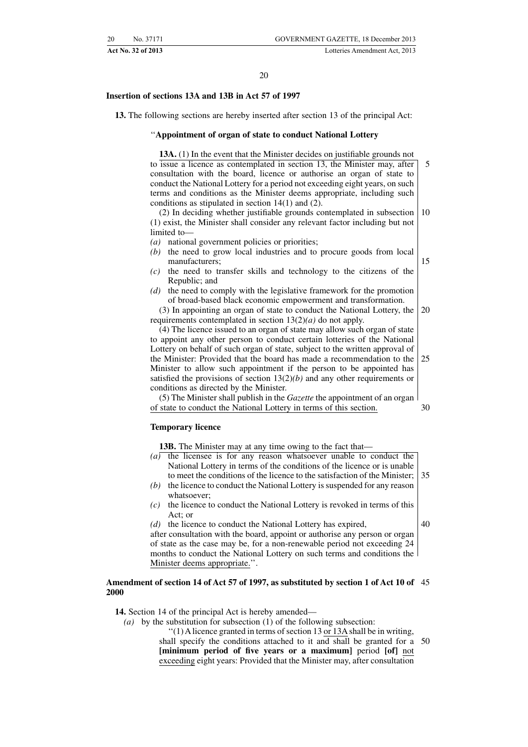#### **Insertion of sections 13A and 13B in Act 57 of 1997**

**13.** The following sections are hereby inserted after section 13 of the principal Act:

#### ''**Appointment of organ of state to conduct National Lottery**

**13A.** (1) In the event that the Minister decides on justifiable grounds not

to issue a licence as contemplated in section 13, the Minister may, after consultation with the board, licence or authorise an organ of state to conduct the National Lottery for a period not exceeding eight years, on such terms and conditions as the Minister deems appropriate, including such conditions as stipulated in section 14(1) and (2). (2) In deciding whether justifiable grounds contemplated in subsection 5 10

(1) exist, the Minister shall consider any relevant factor including but not limited to—

*(a)* national government policies or priorities;

- *(b)* the need to grow local industries and to procure goods from local manufacturers; 15
- *(c)* the need to transfer skills and technology to the citizens of the Republic; and
- *(d)* the need to comply with the legislative framework for the promotion of broad-based black economic empowerment and transformation.

(3) In appointing an organ of state to conduct the National Lottery, the requirements contemplated in section 13(2)*(a)* do not apply. 20

(4) The licence issued to an organ of state may allow such organ of state to appoint any other person to conduct certain lotteries of the National Lottery on behalf of such organ of state, subject to the written approval of the Minister: Provided that the board has made a recommendation to the Minister to allow such appointment if the person to be appointed has satisfied the provisions of section 13(2)*(b)* and any other requirements or conditions as directed by the Minister. 25

(5) The Minister shall publish in the *Gazette* the appointment of an organ of state to conduct the National Lottery in terms of this section. 30

#### **Temporary licence**

**13B.** The Minister may at any time owing to the fact that—

- *(a)* the licensee is for any reason whatsoever unable to conduct the National Lottery in terms of the conditions of the licence or is unable to meet the conditions of the licence to the satisfaction of the Minister; 35
- *(b)* the licence to conduct the National Lottery is suspended for any reason whatsoever;
- *(c)* the licence to conduct the National Lottery is revoked in terms of this Act; or
- 40

*(d)* the licence to conduct the National Lottery has expired, after consultation with the board, appoint or authorise any person or organ of state as the case may be, for a non-renewable period not exceeding 24 months to conduct the National Lottery on such terms and conditions the Minister deems appropriate.''.

#### **Amendment of section 14 of Act 57 of 1997, as substituted by section 1 of Act 10 of** 45 **2000**

**14.** Section 14 of the principal Act is hereby amended—

- *(a)* by the substitution for subsection (1) of the following subsection:
	- ''(1) Alicence granted in terms of section 13 or 13A shall be in writing, shall specify the conditions attached to it and shall be granted for a **[minimum period of five years or a maximum]** period **[of]** not exceeding eight years: Provided that the Minister may, after consultation 50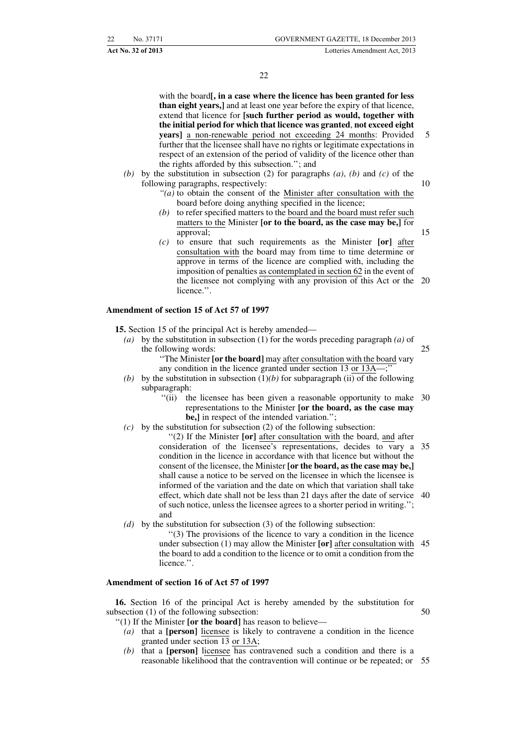15

with the board**[, in a case where the licence has been granted for less than eight years,]** and at least one year before the expiry of that licence, extend that licence for **[such further period as would, together with the initial period for which that licence was granted**, **not exceed eight years]** a non-renewable period not exceeding 24 months: Provided further that the licensee shall have no rights or legitimate expectations in respect of an extension of the period of validity of the licence other than the rights afforded by this subsection.''; and

- *(b)* by the substitution in subsection (2) for paragraphs *(a)*, *(b)* and *(c)* of the following paragraphs, respectively: 10
	- *''(a)* to obtain the consent of the Minister after consultation with the board before doing anything specified in the licence;
	- *(b)* to refer specified matters to the board and the board must refer such matters to the Minister **[or to the board, as the case may be,]** for approval;
	- *(c)* to ensure that such requirements as the Minister **[or]** after consultation with the board may from time to time determine or approve in terms of the licence are complied with, including the imposition of penalties as contemplated in section 62 in the event of the licensee not complying with any provision of this Act or the 20 licence.''.

#### **Amendment of section 15 of Act 57 of 1997**

**15.** Section 15 of the principal Act is hereby amended—

- *(a)* by the substitution in subsection (1) for the words preceding paragraph *(a)* of the following words: 25
	- ''The Minister **[or the board]** may after consultation with the board vary any condition in the licence granted under section 13 or 13A—;''
- *(b)* by the substitution in subsection  $(1)(b)$  for subparagraph *(ii)* of the following subparagraph:
	- "(ii) the licensee has been given a reasonable opportunity to make 30 representations to the Minister **[or the board, as the case may be,]** in respect of the intended variation.'';
- *(c)* by the substitution for subsection (2) of the following subsection:

''(2) If the Minister **[or]** after consultation with the board, and after consideration of the licensee's representations, decides to vary a 35 condition in the licence in accordance with that licence but without the consent of the licensee, the Minister **[or the board, as the case may be,]** shall cause a notice to be served on the licensee in which the licensee is informed of the variation and the date on which that variation shall take effect, which date shall not be less than 21 days after the date of service 40 of such notice, unless the licensee agrees to a shorter period in writing.''; and

- *(d)* by the substitution for subsection (3) of the following subsection:
	- ''(3) The provisions of the licence to vary a condition in the licence under subsection (1) may allow the Minister **[or]** after consultation with 45 the board to add a condition to the licence or to omit a condition from the licence.''.

#### **Amendment of section 16 of Act 57 of 1997**

**16.** Section 16 of the principal Act is hereby amended by the substitution for subsection (1) of the following subsection:

- ''(1) If the Minister **[or the board]** has reason to believe—
	- *(a)* that a **[person]** licensee is likely to contravene a condition in the licence granted under section 13 or 13A;
	- *(b)* that a **[person]** licensee has contravened such a condition and there is a reasonable likelihood that the contravention will continue or be repeated; or 55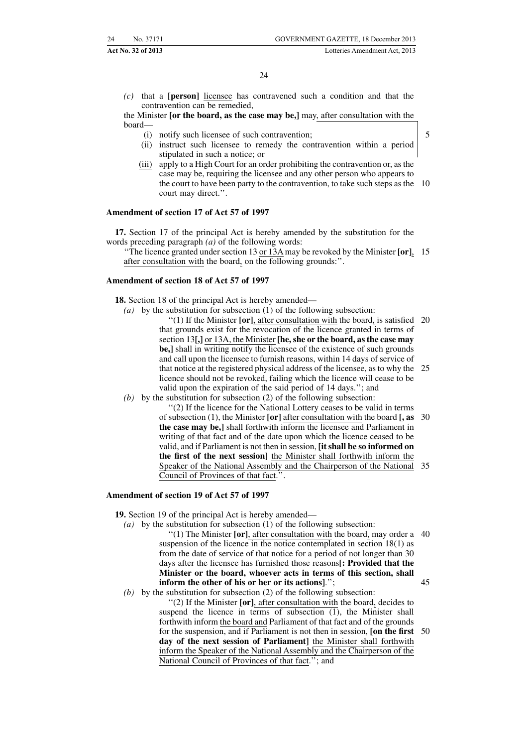*(c)* that a **[person]** licensee has contravened such a condition and that the contravention can be remedied,

the Minister **[or the board, as the case may be,]** may, after consultation with the board—

- (i) notify such licensee of such contravention;
- (ii) instruct such licensee to remedy the contravention within a period stipulated in such a notice; or
- (iii) apply to a High Court for an order prohibiting the contravention or, as the case may be, requiring the licensee and any other person who appears to the court to have been party to the contravention, to take such steps as the 10 court may direct.''.

#### **Amendment of section 17 of Act 57 of 1997**

**17.** Section 17 of the principal Act is hereby amended by the substitution for the words preceding paragraph *(a)* of the following words:

''The licence granted under section 13 or 13A may be revoked by the Minister **[or]**, 15 after consultation with the board, on the following grounds:''.

#### **Amendment of section 18 of Act 57 of 1997**

**18.** Section 18 of the principal Act is hereby amended—

- *(a)* by the substitution for subsection (1) of the following subsection:
	- ''(1) If the Minister **[or]**, after consultation with the board, is satisfied 20 that grounds exist for the revocation of the licence granted in terms of section 13**[,]** or 13A, the Minister **[he, she or the board, as the case may be,]** shall in writing notify the licensee of the existence of such grounds and call upon the licensee to furnish reasons, within 14 days of service of that notice at the registered physical address of the licensee, as to why the licence should not be revoked, failing which the licence will cease to be valid upon the expiration of the said period of 14 days.''; and 25

*(b)* by the substitution for subsection (2) of the following subsection:

''(2) If the licence for the National Lottery ceases to be valid in terms of subsection (1), the Minister **[or]** after consultation with the board **[, as the case may be,]** shall forthwith inform the licensee and Parliament in writing of that fact and of the date upon which the licence ceased to be valid, and if Parliament is not then in session, **[it shall be so informed on the first of the next session]** the Minister shall forthwith inform the Speaker of the National Assembly and the Chairperson of the National 35 Council of Provinces of that fact.''. 30

#### **Amendment of section 19 of Act 57 of 1997**

**19.** Section 19 of the principal Act is hereby amended—

- *(a)* by the substitution for subsection (1) of the following subsection:
	- ''(1) The Minister **[or]**, after consultation with the board, may order a 40 suspension of the licence in the notice contemplated in section 18(1) as from the date of service of that notice for a period of not longer than 30 days after the licensee has furnished those reasons**[: Provided that the Minister or the board, whoever acts in terms of this section, shall inform the other of his or her or its actions]**.''; 45
- *(b)* by the substitution for subsection (2) of the following subsection: ''(2) If the Minister **[or]**, after consultation with the board, decides to suspend the licence in terms of subsection (1), the Minister shall forthwith inform the board and Parliament of that fact and of the grounds for the suspension, and if Parliament is not then in session, **[on the first** 50**day of the next session of Parliament]** the Minister shall forthwith inform the Speaker of the National Assembly and the Chairperson of the National Council of Provinces of that fact.''; and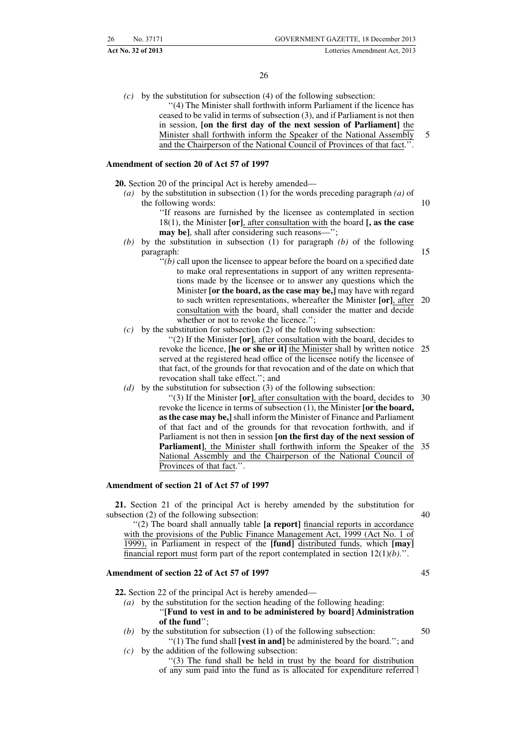**Act No. 32 of 2013** Lotteries Amendment Act, 2013

*(c)* by the substitution for subsection (4) of the following subsection: ''(4) The Minister shall forthwith inform Parliament if the licence has ceased to be valid in terms of subsection (3), and if Parliament is not then in session, **[on the first day of the next session of Parliament]** the Minister shall forthwith inform the Speaker of the National Assembly and the Chairperson of the National Council of Provinces of that fact.''. 5

#### **Amendment of section 20 of Act 57 of 1997**

**20.** Section 20 of the principal Act is hereby amended—

- *(a)* by the substitution in subsection (1) for the words preceding paragraph *(a)* of the following words:
	- ''If reasons are furnished by the licensee as contemplated in section 18(1), the Minister **[or]**, after consultation with the board **[, as the case may be**], shall after considering such reasons—";
- *(b)* by the substitution in subsection (1) for paragraph *(b)* of the following paragraph:
	- ''*(b)* call upon the licensee to appear before the board on a specified date to make oral representations in support of any written representations made by the licensee or to answer any questions which the Minister **[or the board, as the case may be,]** may have with regard to such written representations, whereafter the Minister **[or]**, after 20 consultation with the board, shall consider the matter and decide whether or not to revoke the licence.";
- *(c)* by the substitution for subsection (2) of the following subsection:
	- ''(2) If the Minister **[or]**, after consultation with the board, decides to revoke the licence, **[he or she or it]** the Minister shall by written notice 25 served at the registered head office of the licensee notify the licensee of that fact, of the grounds for that revocation and of the date on which that revocation shall take effect.''; and
- *(d)* by the substitution for subsection (3) of the following subsection:
	- ''(3) If the Minister **[or]**, after consultation with the board, decides to 30 revoke the licence in terms of subsection (1), the Minister **[or the board, as the case may be,]** shall inform the Minister of Finance and Parliament of that fact and of the grounds for that revocation forthwith, and if Parliament is not then in session **[on the first day of the next session of Parliament]**, the Minister shall forthwith inform the Speaker of the National Assembly and the Chairperson of the National Council of Provinces of that fact.''. 35

#### **Amendment of section 21 of Act 57 of 1997**

**21.** Section 21 of the principal Act is hereby amended by the substitution for subsection (2) of the following subsection:

''(2) The board shall annually table **[a report]** financial reports in accordance with the provisions of the Public Finance Management Act, 1999 (Act No. 1 of 1999), in Parliament in respect of the **[fund]** distributed funds, which **[may]** financial report must form part of the report contemplated in section 12(1)*(b)*.''.

#### **Amendment of section 22 of Act 57 of 1997**

**22.** Section 22 of the principal Act is hereby amended—

- *(a)* by the substitution for the section heading of the following heading: ''**[Fund to vest in and to be administered by board] Administration of the fund**'';
- *(b)* by the substitution for subsection (1) of the following subsection: ''(1) The fund shall **[vest in and]** be administered by the board.''; and
- *(c)* by the addition of the following subsection: ''(3) The fund shall be held in trust by the board for distribution

of any sum paid into the fund as is allocated for expenditure referred

40

10

15

- 
- 
- 50
-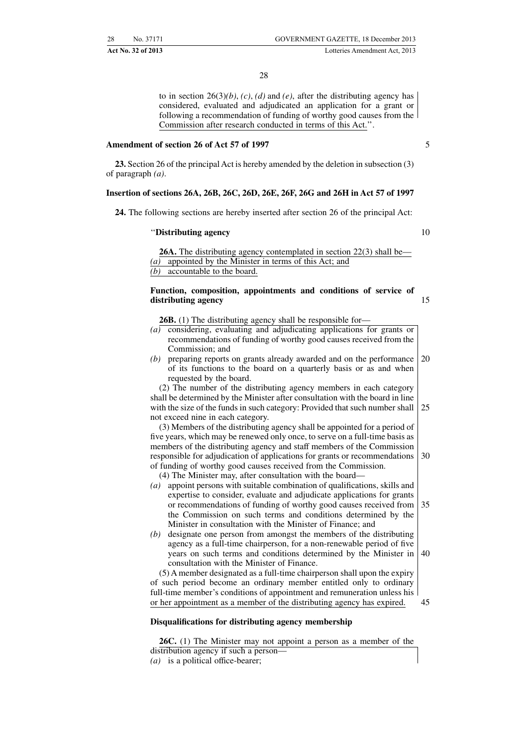to in section  $26(3)(b)$ , *(c)*, *(d)* and *(e)*, after the distributing agency has considered, evaluated and adjudicated an application for a grant or following a recommendation of funding of worthy good causes from the Commission after research conducted in terms of this Act.''.

#### **Amendment of section 26 of Act 57 of 1997**

**23.** Section 26 of the principal Act is hereby amended by the deletion in subsection (3) of paragraph *(a)*.

#### **Insertion of sections 26A, 26B, 26C, 26D, 26E, 26F, 26G and 26H in Act 57 of 1997**

**24.** The following sections are hereby inserted after section 26 of the principal Act:

#### ''**Distributing agency**

10

15

5

**26A.** The distributing agency contemplated in section 22(3) shall be— *(a)* appointed by the Minister in terms of this Act; and *(b)* accountable to the board.

#### **Function, composition, appointments and conditions of service of distributing agency**

**26B.** (1) The distributing agency shall be responsible for—

- *(a)* considering, evaluating and adjudicating applications for grants or recommendations of funding of worthy good causes received from the Commission; and
- *(b)* preparing reports on grants already awarded and on the performance of its functions to the board on a quarterly basis or as and when requested by the board. 20

(2) The number of the distributing agency members in each category shall be determined by the Minister after consultation with the board in line with the size of the funds in such category: Provided that such number shall not exceed nine in each category. 25

(3) Members of the distributing agency shall be appointed for a period of five years, which may be renewed only once, to serve on a full-time basis as members of the distributing agency and staff members of the Commission responsible for adjudication of applications for grants or recommendations of funding of worthy good causes received from the Commission. 30

- (4) The Minister may, after consultation with the board—
- *(a)* appoint persons with suitable combination of qualifications, skills and expertise to consider, evaluate and adjudicate applications for grants or recommendations of funding of worthy good causes received from the Commission on such terms and conditions determined by the Minister in consultation with the Minister of Finance; and 35
- *(b)* designate one person from amongst the members of the distributing agency as a full-time chairperson, for a non-renewable period of five years on such terms and conditions determined by the Minister in consultation with the Minister of Finance. 40

(5) A member designated as a full-time chairperson shall upon the expiry of such period become an ordinary member entitled only to ordinary full-time member's conditions of appointment and remuneration unless his or her appointment as a member of the distributing agency has expired. 45

#### **Disqualifications for distributing agency membership**

**26C.** (1) The Minister may not appoint a person as a member of the distribution agency if such a person— *(a)* is a political office-bearer;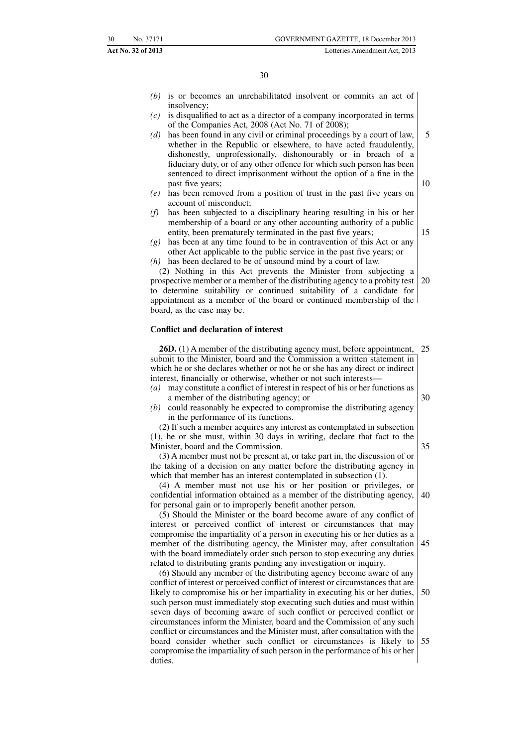- *(b)* is or becomes an unrehabilitated insolvent or commits an act of insolvency;
- *(c)* is disqualified to act as a director of a company incorporated in terms of the Companies Act, 2008 (Act No. 71 of 2008);
- *(d)* has been found in any civil or criminal proceedings by a court of law, whether in the Republic or elsewhere, to have acted fraudulently, dishonestly, unprofessionally, dishonourably or in breach of a fiduciary duty, or of any other offence for which such person has been sentenced to direct imprisonment without the option of a fine in the past five years; 5 10
- *(e)* has been removed from a position of trust in the past five years on account of misconduct;
- *(f)* has been subjected to a disciplinary hearing resulting in his or her membership of a board or any other accounting authority of a public entity, been prematurely terminated in the past five years;
- *(g)* has been at any time found to be in contravention of this Act or any other Act applicable to the public service in the past five years; or
- *(h)* has been declared to be of unsound mind by a court of law.

(2) Nothing in this Act prevents the Minister from subjecting a prospective member or a member of the distributing agency to a probity test to determine suitability or continued suitability of a candidate for appointment as a member of the board or continued membership of the board, as the case may be. 20

#### **Conflict and declaration of interest**

**26D.** (1) A member of the distributing agency must, before appointment, submit to the Minister, board and the Commission a written statement in which he or she declares whether or not he or she has any direct or indirect interest, financially or otherwise, whether or not such interests— 25

- *(a)* may constitute a conflict of interest in respect of his or her functions as a member of the distributing agency; or
- *(b)* could reasonably be expected to compromise the distributing agency in the performance of its functions.

(2) If such a member acquires any interest as contemplated in subsection (1), he or she must, within 30 days in writing, declare that fact to the Minister, board and the Commission.

(3) A member must not be present at, or take part in, the discussion of or the taking of a decision on any matter before the distributing agency in which that member has an interest contemplated in subsection (1).

(4) A member must not use his or her position or privileges, or confidential information obtained as a member of the distributing agency, for personal gain or to improperly benefit another person. 40

(5) Should the Minister or the board become aware of any conflict of interest or perceived conflict of interest or circumstances that may compromise the impartiality of a person in executing his or her duties as a member of the distributing agency, the Minister may, after consultation with the board immediately order such person to stop executing any duties related to distributing grants pending any investigation or inquiry. 45

(6) Should any member of the distributing agency become aware of any conflict of interest or perceived conflict of interest or circumstances that are likely to compromise his or her impartiality in executing his or her duties, such person must immediately stop executing such duties and must within seven days of becoming aware of such conflict or perceived conflict or circumstances inform the Minister, board and the Commission of any such conflict or circumstances and the Minister must, after consultation with the board consider whether such conflict or circumstances is likely to compromise the impartiality of such person in the performance of his or her duties. 50 55

30

15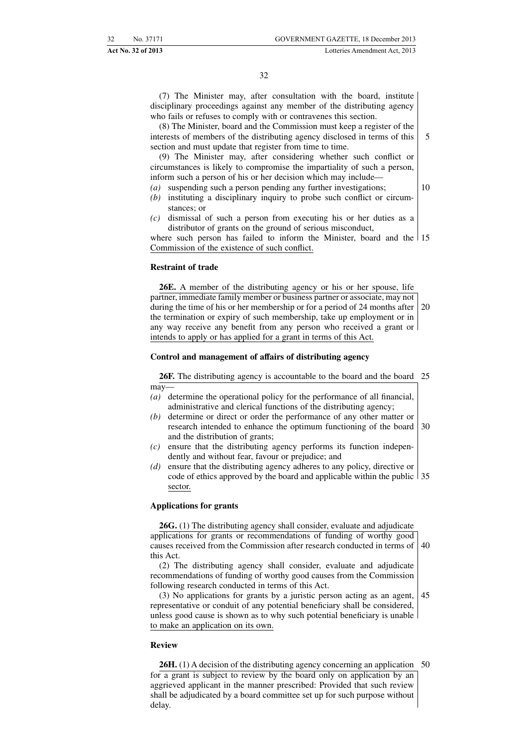(7) The Minister may, after consultation with the board, institute disciplinary proceedings against any member of the distributing agency who fails or refuses to comply with or contravenes this section.

(8) The Minister, board and the Commission must keep a register of the interests of members of the distributing agency disclosed in terms of this section and must update that register from time to time.

(9) The Minister may, after considering whether such conflict or circumstances is likely to compromise the impartiality of such a person, inform such a person of his or her decision which may include—

- *(a)* suspending such a person pending any further investigations;
- *(b)* instituting a disciplinary inquiry to probe such conflict or circumstances; or
- *(c)* dismissal of such a person from executing his or her duties as a distributor of grants on the ground of serious misconduct,

where such person has failed to inform the Minister, board and the 15 Commission of the existence of such conflict.

#### **Restraint of trade**

**26E.** A member of the distributing agency or his or her spouse, life partner, immediate family member or business partner or associate, may not during the time of his or her membership or for a period of 24 months after the termination or expiry of such membership, take up employment or in any way receive any benefit from any person who received a grant or intends to apply or has applied for a grant in terms of this Act. 20

#### **Control and management of affairs of distributing agency**

26F. The distributing agency is accountable to the board and the board 25 may—

- *(a)* determine the operational policy for the performance of all financial, administrative and clerical functions of the distributing agency;
- *(b)* determine or direct or order the performance of any other matter or research intended to enhance the optimum functioning of the board and the distribution of grants; 30
- *(c)* ensure that the distributing agency performs its function independently and without fear, favour or prejudice; and
- *(d)* ensure that the distributing agency adheres to any policy, directive or code of ethics approved by the board and applicable within the public 35 sector.

#### **Applications for grants**

**26G.** (1) The distributing agency shall consider, evaluate and adjudicate applications for grants or recommendations of funding of worthy good causes received from the Commission after research conducted in terms of this Act. 40

(2) The distributing agency shall consider, evaluate and adjudicate recommendations of funding of worthy good causes from the Commission following research conducted in terms of this Act.

(3) No applications for grants by a juristic person acting as an agent, representative or conduit of any potential beneficiary shall be considered, unless good cause is shown as to why such potential beneficiary is unable to make an application on its own. 45

#### **Review**

**26H.** (1) A decision of the distributing agency concerning an application for a grant is subject to review by the board only on application by an aggrieved applicant in the manner prescribed: Provided that such review shall be adjudicated by a board committee set up for such purpose without delay. 50

5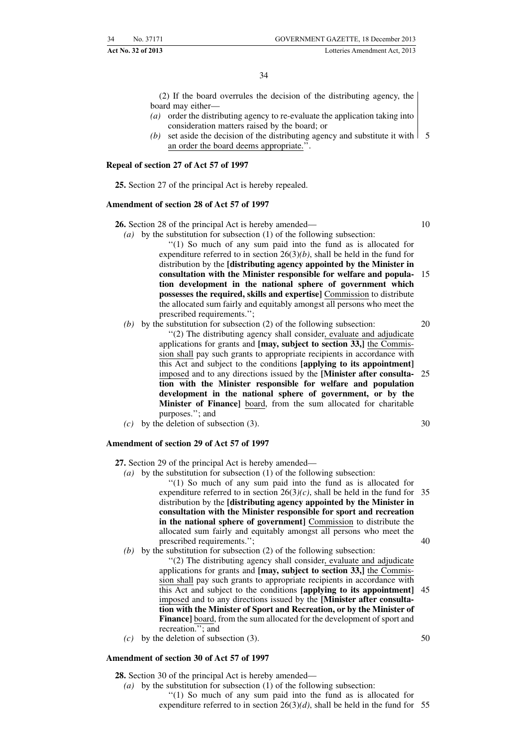(2) If the board overrules the decision of the distributing agency, the board may either—

- *(a)* order the distributing agency to re-evaluate the application taking into consideration matters raised by the board; or
- (b) set aside the decision of the distributing agency and substitute it with  $\vert$  5 an order the board deems appropriate.''.

#### **Repeal of section 27 of Act 57 of 1997**

**25.** Section 27 of the principal Act is hereby repealed.

#### **Amendment of section 28 of Act 57 of 1997**

**26.** Section 28 of the principal Act is hereby amended— 10

- *(a)* by the substitution for subsection (1) of the following subsection: ''(1) So much of any sum paid into the fund as is allocated for expenditure referred to in section 26(3)*(b)*, shall be held in the fund for distribution by the **[distributing agency appointed by the Minister in consultation with the Minister responsible for welfare and popula-**15 **tion development in the national sphere of government which** possesses the required, skills and expertise] Commission to distribute the allocated sum fairly and equitably amongst all persons who meet the prescribed requirements.'';
- *(b)* by the substitution for subsection (2) of the following subsection: ''(2) The distributing agency shall consider, evaluate and adjudicate applications for grants and **[may, subject to section 33,]** the Commission shall pay such grants to appropriate recipients in accordance with this Act and subject to the conditions **[applying to its appointment]** imposed and to any directions issued by the **[Minister after consulta-**25 **tion with the Minister responsible for welfare and population development in the national sphere of government, or by the Minister of Finance]** board, from the sum allocated for charitable purposes.''; and 20
- *(c)* by the deletion of subsection (3).

#### **Amendment of section 29 of Act 57 of 1997**

**27.** Section 29 of the principal Act is hereby amended—

*(a)* by the substitution for subsection (1) of the following subsection:

''(1) So much of any sum paid into the fund as is allocated for expenditure referred to in section  $26(3)(c)$ , shall be held in the fund for 35 distribution by the **[distributing agency appointed by the Minister in consultation with the Minister responsible for sport and recreation in the national sphere of government]** Commission to distribute the allocated sum fairly and equitably amongst all persons who meet the prescribed requirements.''; 40

*(b)* by the substitution for subsection (2) of the following subsection:

''(2) The distributing agency shall consider, evaluate and adjudicate applications for grants and **[may, subject to section 33,]** the Commission shall pay such grants to appropriate recipients in accordance with this Act and subject to the conditions **[applying to its appointment]** 45 imposed and to any directions issued by the **[Minister after consultation with the Minister of Sport and Recreation, or by the Minister of Finance]** board, from the sum allocated for the development of sport and recreation.''; and

*(c)* by the deletion of subsection (3).

#### **Amendment of section 30 of Act 57 of 1997**

**28.** Section 30 of the principal Act is hereby amended—

- *(a)* by the substitution for subsection (1) of the following subsection:
	- ''(1) So much of any sum paid into the fund as is allocated for expenditure referred to in section  $26(3)(d)$ , shall be held in the fund for 55
- 50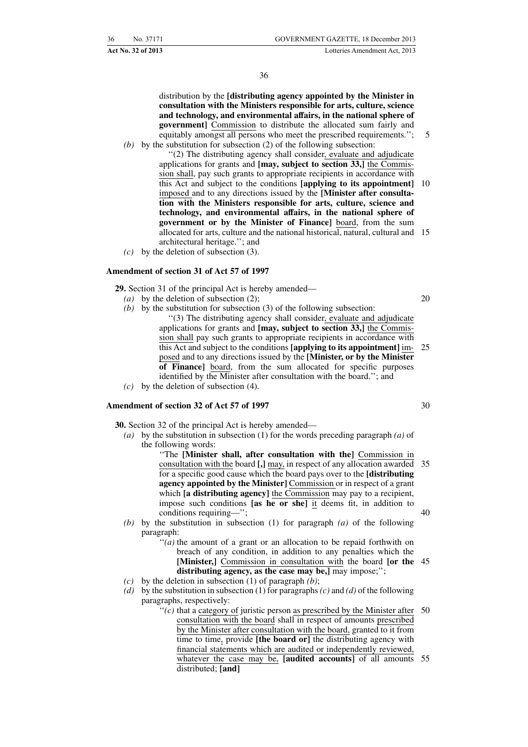**Act No. 32 of 2013** Lotteries Amendment Act, 2013

36

distribution by the **[distributing agency appointed by the Minister in consultation with the Ministers responsible for arts, culture, science and technology, and environmental affairs, in the national sphere of government]** Commission to distribute the allocated sum fairly and equitably amongst all persons who meet the prescribed requirements.''; *(b)* by the substitution for subsection (2) of the following subsection:

''(2) The distributing agency shall consider, evaluate and adjudicate applications for grants and **[may, subject to section 33,]** the Commission shall, pay such grants to appropriate recipients in accordance with this Act and subject to the conditions **[applying to its appointment]** 10 imposed and to any directions issued by the **[Minister after consultation with the Ministers responsible for arts, culture, science and technology, and environmental affairs, in the national sphere of government or by the Minister of Finance]** board, from the sum allocated for arts, culture and the national historical, natural, cultural and 15 architectural heritage.''; and

*(c)* by the deletion of subsection (3).

#### **Amendment of section 31 of Act 57 of 1997**

**29.** Section 31 of the principal Act is hereby amended—

- *(a)* by the deletion of subsection (2);
- *(b)* by the substitution for subsection (3) of the following subsection: ''(3) The distributing agency shall consider, evaluate and adjudicate applications for grants and **[may, subject to section 33,]** the Commission shall pay such grants to appropriate recipients in accordance with this Act and subject to the conditions **[applying to its appointment]** imposed and to any directions issued by the **[Minister, or by the Minister**
- **of Finance]** board, from the sum allocated for specific purposes identified by the Minister after consultation with the board.''; and *(c)* by the deletion of subsection (4).

#### **Amendment of section 32 of Act 57 of 1997**

**30.** Section 32 of the principal Act is hereby amended—

- *(a)* by the substitution in subsection (1) for the words preceding paragraph *(a)* of the following words:
	- ''The **[Minister shall, after consultation with the]** Commission in consultation with the board **[,]** may, in respect of any allocation awarded 35 for a specific good cause which the board pays over to the **[distributing agency appointed by the Minister]** Commission or in respect of a grant which **[a distributing agency]** the Commission may pay to a recipient, impose such conditions **[as he or she]** it deems fit, in addition to conditions requiring—''; 40
- *(b)* by the substitution in subsection (1) for paragraph *(a)* of the following paragraph:
	- ''*(a)* the amount of a grant or an allocation to be repaid forthwith on breach of any condition, in addition to any penalties which the **[Minister,]** Commission in consultation with the board **[or the** 45 distributing agency, as the case may be,] may impose;";
- *(c)* by the deletion in subsection (1) of paragraph *(b)*;
- *(d)* by the substitution in subsection (1) for paragraphs*(c)* and *(d)* of the following paragraphs, respectively:
	- $f'(c)$  that a category of juristic person as prescribed by the Minister after 50 consultation with the board shall in respect of amounts prescribed by the Minister after consultation with the board, granted to it from time to time, provide **[the board or]** the distributing agency with financial statements which are audited or independently reviewed, whatever the case may be, **[audited accounts]** of all amounts 55distributed; **[and]**

30

20

 $25$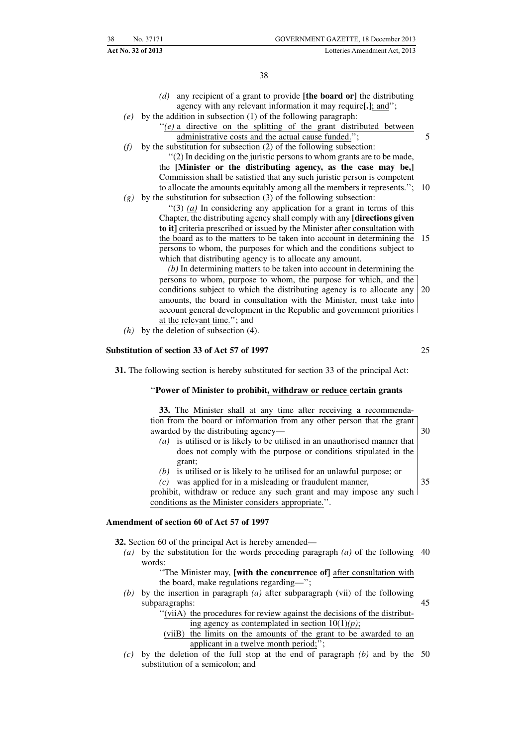- *(d)* any recipient of a grant to provide **[the board or]** the distributing agency with any relevant information it may require**[.]**; and'';
- *(e)* by the addition in subsection (1) of the following paragraph:
	- "(e) a directive on the splitting of the grant distributed between administrative costs and the actual cause funded.'';
- *(f)* by the substitution for subsection (2) of the following subsection:

''(2) In deciding on the juristic persons to whom grants are to be made, the **[Minister or the distributing agency, as the case may be,]** Commission shall be satisfied that any such juristic person is competent to allocate the amounts equitably among all the members it represents.''; 10

*(g)* by the substitution for subsection (3) of the following subsection:

''(3) *(a)* In considering any application for a grant in terms of this Chapter, the distributing agency shall comply with any **[directions given to it]** criteria prescribed or issued by the Minister after consultation with the board as to the matters to be taken into account in determining the persons to whom, the purposes for which and the conditions subject to which that distributing agency is to allocate any amount. 15

*(b)* In determining matters to be taken into account in determining the persons to whom, purpose to whom, the purpose for which, and the conditions subject to which the distributing agency is to allocate any amounts, the board in consultation with the Minister, must take into account general development in the Republic and government priorities at the relevant time.''; and 20

*(h)* by the deletion of subsection (4).

#### **Substitution of section 33 of Act 57 of 1997**

25

5

**31.** The following section is hereby substituted for section 33 of the principal Act:

#### ''**Power of Minister to prohibit, withdraw or reduce certain grants**

**33.** The Minister shall at any time after receiving a recommendation from the board or information from any other person that the grant awarded by the distributing agency— *(a)* is utilised or is likely to be utilised in an unauthorised manner that does not comply with the purpose or conditions stipulated in the 30

- grant;
- *(b)* is utilised or is likely to be utilised for an unlawful purpose; or *(c)* was applied for in a misleading or fraudulent manner,

35

prohibit, withdraw or reduce any such grant and may impose any such conditions as the Minister considers appropriate.''.

#### **Amendment of section 60 of Act 57 of 1997**

**32.** Section 60 of the principal Act is hereby amended—

*(a)* by the substitution for the words preceding paragraph *(a)* of the following 40 words:

> ''The Minister may, **[with the concurrence of]** after consultation with the board, make regulations regarding—'';

*(b)* by the insertion in paragraph *(a)* after subparagraph (vii) of the following subparagraphs: 45

"(viiA) the procedures for review against the decisions of the distribut-

- ing agency as contemplated in section 10(1)*(p)*;
- (viiB) the limits on the amounts of the grant to be awarded to an applicant in a twelve month period;'';
- *(c)* by the deletion of the full stop at the end of paragraph *(b)* and by the 50substitution of a semicolon; and